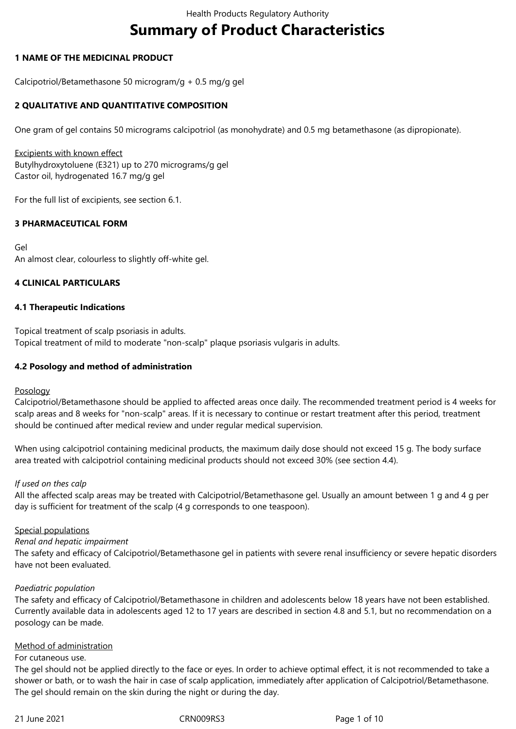# **Summary of Product Characteristics**

# **1 NAME OF THE MEDICINAL PRODUCT**

Calcipotriol/Betamethasone 50 microgram/g + 0.5 mg/g gel

# **2 QUALITATIVE AND QUANTITATIVE COMPOSITION**

One gram of gel contains 50 micrograms calcipotriol (as monohydrate) and 0.5 mg betamethasone (as dipropionate).

Excipients with known effect Butylhydroxytoluene (E321) up to 270 micrograms/g gel Castor oil, hydrogenated 16.7 mg/g gel

For the full list of excipients, see section 6.1.

# **3 PHARMACEUTICAL FORM**

Gel An almost clear, colourless to slightly off-white gel.

# **4 CLINICAL PARTICULARS**

### **4.1 Therapeutic Indications**

Topical treatment of scalp psoriasis in adults. Topical treatment of mild to moderate "non-scalp" plaque psoriasis vulgaris in adults.

### **4.2 Posology and method of administration**

### Posology

Calcipotriol/Betamethasone should be applied to affected areas once daily. The recommended treatment period is 4 weeks for scalp areas and 8 weeks for "non-scalp" areas. If it is necessary to continue or restart treatment after this period, treatment should be continued after medical review and under regular medical supervision.

When using calcipotriol containing medicinal products, the maximum daily dose should not exceed 15 g. The body surface area treated with calcipotriol containing medicinal products should not exceed 30% (see section 4.4).

### *If used on thes calp*

All the affected scalp areas may be treated with Calcipotriol/Betamethasone gel. Usually an amount between 1 g and 4 g per day is sufficient for treatment of the scalp (4 g corresponds to one teaspoon).

### Special populations

### *Renal and hepatic impairment*

The safety and efficacy of Calcipotriol/Betamethasone gel in patients with severe renal insufficiency or severe hepatic disorders have not been evaluated.

### *Paediatric population*

The safety and efficacy of Calcipotriol/Betamethasone in children and adolescents below 18 years have not been established. Currently available data in adolescents aged 12 to 17 years are described in section 4.8 and 5.1, but no recommendation on a posology can be made.

### Method of administration

### For cutaneous use.

The gel should not be applied directly to the face or eyes. In order to achieve optimal effect, it is not recommended to take a shower or bath, or to wash the hair in case of scalp application, immediately after application of Calcipotriol/Betamethasone. The gel should remain on the skin during the night or during the day.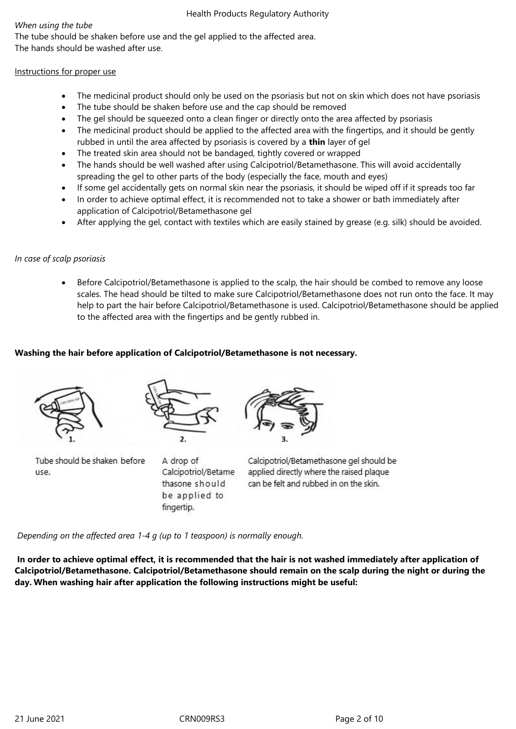# *When using the tube*

The tube should be shaken before use and the gel applied to the affected area. The hands should be washed after use.

# Instructions for proper use

- The medicinal product should only be used on the psoriasis but not on skin which does not have psoriasis
- The tube should be shaken before use and the cap should be removed
- The gel should be squeezed onto a clean finger or directly onto the area affected by psoriasis
- The medicinal product should be applied to the affected area with the fingertips, and it should be gently rubbed in until the area affected by psoriasis is covered by a **thin** layer of gel
- The treated skin area should not be bandaged, tightly covered or wrapped
- The hands should be well washed after using Calcipotriol/Betamethasone. This will avoid accidentally spreading the gel to other parts of the body (especially the face, mouth and eyes)
- If some gel accidentally gets on normal skin near the psoriasis, it should be wiped off if it spreads too far
- In order to achieve optimal effect, it is recommended not to take a shower or bath immediately after application of Calcipotriol/Betamethasone gel
- After applying the gel, contact with textiles which are easily stained by grease (e.g. silk) should be avoided.

# *In case of scalp psoriasis*

 Before Calcipotriol/Betamethasone is applied to the scalp, the hair should be combed to remove any loose scales. The head should be tilted to make sure Calcipotriol/Betamethasone does not run onto the face. It may help to part the hair before Calcipotriol/Betamethasone is used. Calcipotriol/Betamethasone should be applied to the affected area with the fingertips and be gently rubbed in.

# **Washing the hair before application of Calcipotriol/Betamethasone is not necessary.**





Tube should be shaken before use.

A drop of Calcipotriol/Betame thasone should be applied to fingertip.



Calcipotriol/Betamethasone gel should be applied directly where the raised plaque can be felt and rubbed in on the skin.

*Depending on the affected area 1-4 g (up to 1 teaspoon) is normally enough.*

**In order to achieve optimal effect, it is recommended that the hair is not washed immediately after application of Calcipotriol/Betamethasone. Calcipotriol/Betamethasone should remain on the scalp during the night or during the day. When washing hair after application the following instructions might be useful:**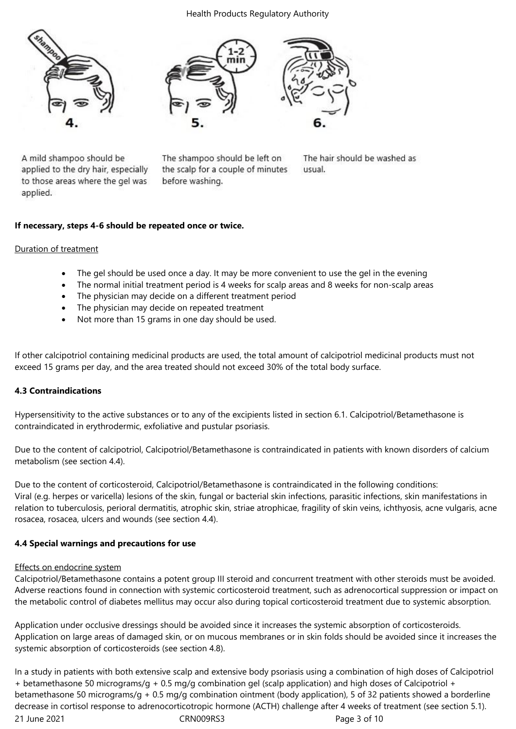#### Health Products Regulatory Authority





A mild shampoo should be applied to the dry hair, especially to those areas where the gel was applied.

The shampoo should be left on the scalp for a couple of minutes before washing.

The hair should be washed as usual.

# **If necessary, steps 4-6 should be repeated once or twice.**

### Duration of treatment

- The gel should be used once a day. It may be more convenient to use the gel in the evening
- The normal initial treatment period is 4 weeks for scalp areas and 8 weeks for non-scalp areas
- The physician may decide on a different treatment period
- The physician may decide on repeated treatment
- Not more than 15 grams in one day should be used.

If other calcipotriol containing medicinal products are used, the total amount of calcipotriol medicinal products must not exceed 15 grams per day, and the area treated should not exceed 30% of the total body surface.

### **4.3 Contraindications**

Hypersensitivity to the active substances or to any of the excipients listed in section 6.1. Calcipotriol/Betamethasone is contraindicated in erythrodermic, exfoliative and pustular psoriasis.

Due to the content of calcipotriol, Calcipotriol/Betamethasone is contraindicated in patients with known disorders of calcium metabolism (see section 4.4).

Due to the content of corticosteroid, Calcipotriol/Betamethasone is contraindicated in the following conditions: Viral (e.g. herpes or varicella) lesions of the skin, fungal or bacterial skin infections, parasitic infections, skin manifestations in relation to tuberculosis, perioral dermatitis, atrophic skin, striae atrophicae, fragility of skin veins, ichthyosis, acne vulgaris, acne rosacea, rosacea, ulcers and wounds (see section 4.4).

### **4.4 Special warnings and precautions for use**

### Effects on endocrine system

Calcipotriol/Betamethasone contains a potent group III steroid and concurrent treatment with other steroids must be avoided. Adverse reactions found in connection with systemic corticosteroid treatment, such as adrenocortical suppression or impact on the metabolic control of diabetes mellitus may occur also during topical corticosteroid treatment due to systemic absorption.

Application under occlusive dressings should be avoided since it increases the systemic absorption of corticosteroids. Application on large areas of damaged skin, or on mucous membranes or in skin folds should be avoided since it increases the systemic absorption of corticosteroids (see section 4.8).

21 June 2021 **CRN009RS3** Page 3 of 10 In a study in patients with both extensive scalp and extensive body psoriasis using a combination of high doses of Calcipotriol + betamethasone 50 micrograms/g + 0.5 mg/g combination gel (scalp application) and high doses of Calcipotriol + betamethasone 50 micrograms/g + 0.5 mg/g combination ointment (body application), 5 of 32 patients showed a borderline decrease in cortisol response to adrenocorticotropic hormone (ACTH) challenge after 4 weeks of treatment (see section 5.1).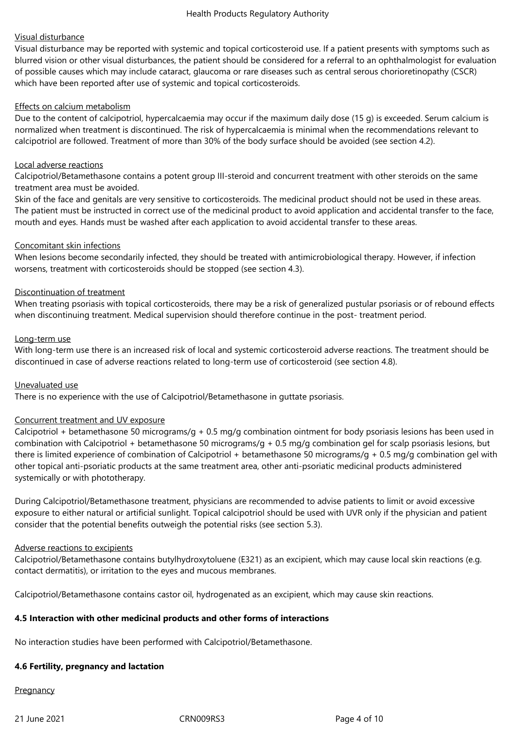# Visual disturbance

Visual disturbance may be reported with systemic and topical corticosteroid use. If a patient presents with symptoms such as blurred vision or other visual disturbances, the patient should be considered for a referral to an ophthalmologist for evaluation of possible causes which may include cataract, glaucoma or rare diseases such as central serous chorioretinopathy (CSCR) which have been reported after use of systemic and topical corticosteroids.

### Effects on calcium metabolism

Due to the content of calcipotriol, hypercalcaemia may occur if the maximum daily dose (15 g) is exceeded. Serum calcium is normalized when treatment is discontinued. The risk of hypercalcaemia is minimal when the recommendations relevant to calcipotriol are followed. Treatment of more than 30% of the body surface should be avoided (see section 4.2).

### Local adverse reactions

Calcipotriol/Betamethasone contains a potent group III-steroid and concurrent treatment with other steroids on the same treatment area must be avoided.

Skin of the face and genitals are very sensitive to corticosteroids. The medicinal product should not be used in these areas. The patient must be instructed in correct use of the medicinal product to avoid application and accidental transfer to the face, mouth and eyes. Hands must be washed after each application to avoid accidental transfer to these areas.

# Concomitant skin infections

When lesions become secondarily infected, they should be treated with antimicrobiological therapy. However, if infection worsens, treatment with corticosteroids should be stopped (see section 4.3).

# Discontinuation of treatment

When treating psoriasis with topical corticosteroids, there may be a risk of generalized pustular psoriasis or of rebound effects when discontinuing treatment. Medical supervision should therefore continue in the post- treatment period.

### Long-term use

With long-term use there is an increased risk of local and systemic corticosteroid adverse reactions. The treatment should be discontinued in case of adverse reactions related to long-term use of corticosteroid (see section 4.8).

### Unevaluated use

There is no experience with the use of Calcipotriol/Betamethasone in guttate psoriasis.

### Concurrent treatment and UV exposure

Calcipotriol + betamethasone 50 micrograms/g + 0.5 mg/g combination ointment for body psoriasis lesions has been used in combination with Calcipotriol + betamethasone 50 micrograms/g + 0.5 mg/g combination gel for scalp psoriasis lesions, but there is limited experience of combination of Calcipotriol + betamethasone 50 micrograms/g + 0.5 mg/g combination gel with other topical anti-psoriatic products at the same treatment area, other anti-psoriatic medicinal products administered systemically or with phototherapy.

During Calcipotriol/Betamethasone treatment, physicians are recommended to advise patients to limit or avoid excessive exposure to either natural or artificial sunlight. Topical calcipotriol should be used with UVR only if the physician and patient consider that the potential benefits outweigh the potential risks (see section 5.3).

### Adverse reactions to excipients

Calcipotriol/Betamethasone contains butylhydroxytoluene (E321) as an excipient, which may cause local skin reactions (e.g. contact dermatitis), or irritation to the eyes and mucous membranes.

Calcipotriol/Betamethasone contains castor oil, hydrogenated as an excipient, which may cause skin reactions.

# **4.5 Interaction with other medicinal products and other forms of interactions**

No interaction studies have been performed with Calcipotriol/Betamethasone.

# **4.6 Fertility, pregnancy and lactation**

# **Pregnancy**

21 June 2021 CRN009RS3 Page 4 of 10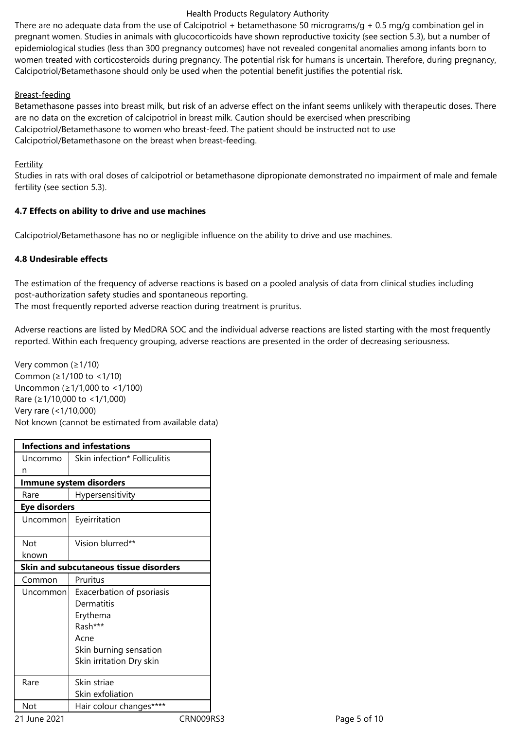### Health Products Regulatory Authority

There are no adequate data from the use of Calcipotriol + betamethasone 50 micrograms/g + 0.5 mg/g combination gel in pregnant women. Studies in animals with glucocorticoids have shown reproductive toxicity (see section 5.3), but a number of epidemiological studies (less than 300 pregnancy outcomes) have not revealed congenital anomalies among infants born to women treated with corticosteroids during pregnancy. The potential risk for humans is uncertain. Therefore, during pregnancy, Calcipotriol/Betamethasone should only be used when the potential benefit justifies the potential risk.

# Breast-feeding

Betamethasone passes into breast milk, but risk of an adverse effect on the infant seems unlikely with therapeutic doses. There are no data on the excretion of calcipotriol in breast milk. Caution should be exercised when prescribing Calcipotriol/Betamethasone to women who breast-feed. The patient should be instructed not to use Calcipotriol/Betamethasone on the breast when breast-feeding.

### **Fertility**

Studies in rats with oral doses of calcipotriol or betamethasone dipropionate demonstrated no impairment of male and female fertility (see section 5.3).

# **4.7 Effects on ability to drive and use machines**

Calcipotriol/Betamethasone has no or negligible influence on the ability to drive and use machines.

# **4.8 Undesirable effects**

The estimation of the frequency of adverse reactions is based on a pooled analysis of data from clinical studies including post-authorization safety studies and spontaneous reporting. The most frequently reported adverse reaction during treatment is pruritus.

Adverse reactions are listed by MedDRA SOC and the individual adverse reactions are listed starting with the most frequently reported. Within each frequency grouping, adverse reactions are presented in the order of decreasing seriousness.

Very common (≥1/10) Common (≥1/100 to <1/10) Uncommon (≥1/1,000 to <1/100) Rare (≥1/10,000 to <1/1,000) Very rare (<1/10,000) Not known (cannot be estimated from available data)

|                      | <b>Infections and infestations</b>     |           |
|----------------------|----------------------------------------|-----------|
| Uncommo              | Skin infection* Folliculitis           |           |
| n                    |                                        |           |
|                      | Immune system disorders                |           |
| Rare                 | Hypersensitivity                       |           |
| <b>Eye disorders</b> |                                        |           |
| Uncommon             | Eyeirritation                          |           |
|                      |                                        |           |
| <b>Not</b>           | Vision blurred**                       |           |
| known                |                                        |           |
|                      | Skin and subcutaneous tissue disorders |           |
| Common               | Pruritus                               |           |
| Uncommon             | Exacerbation of psoriasis              |           |
|                      | Dermatitis                             |           |
|                      | Erythema                               |           |
|                      | Rash***                                |           |
|                      | Acne                                   |           |
|                      | Skin burning sensation                 |           |
|                      | Skin irritation Dry skin               |           |
| Rare                 | Skin striae                            |           |
|                      | Skin exfoliation                       |           |
| <b>Not</b>           | Hair colour changes****                |           |
| 21 June 2021         |                                        | CRN009RS3 |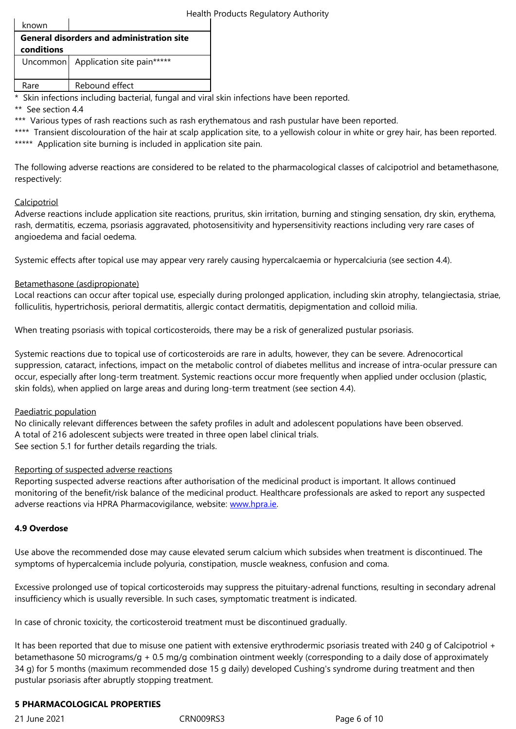|  | conditions                 |                                       |  |
|--|----------------------------|---------------------------------------|--|
|  |                            | Uncommon   Application site pain***** |  |
|  | Rare                       | Rebound effect                        |  |
|  | .<br>$\cdots$ and $\cdots$ |                                       |  |

\* Skin infections including bacterial, fungal and viral skin infections have been reported.

\*\* See section 4.4

\*\*\* Various types of rash reactions such as rash erythematous and rash pustular have been reported.

\*\*\*\* Transient discolouration of the hair at scalp application site, to a yellowish colour in white or grey hair, has been reported. \*\*\*\*\* Application site burning is included in application site pain.

The following adverse reactions are considered to be related to the pharmacological classes of calcipotriol and betamethasone, respectively:

### **Calcipotriol**

Adverse reactions include application site reactions, pruritus, skin irritation, burning and stinging sensation, dry skin, erythema, rash, dermatitis, eczema, psoriasis aggravated, photosensitivity and hypersensitivity reactions including very rare cases of angioedema and facial oedema.

Systemic effects after topical use may appear very rarely causing hypercalcaemia or hypercalciuria (see section 4.4).

# Betamethasone (asdipropionate)

Local reactions can occur after topical use, especially during prolonged application, including skin atrophy, telangiectasia, striae, folliculitis, hypertrichosis, perioral dermatitis, allergic contact dermatitis, depigmentation and colloid milia.

When treating psoriasis with topical corticosteroids, there may be a risk of generalized pustular psoriasis.

Systemic reactions due to topical use of corticosteroids are rare in adults, however, they can be severe. Adrenocortical suppression, cataract, infections, impact on the metabolic control of diabetes mellitus and increase of intra-ocular pressure can occur, especially after long-term treatment. Systemic reactions occur more frequently when applied under occlusion (plastic, skin folds), when applied on large areas and during long-term treatment (see section 4.4).

### Paediatric population

No clinically relevant differences between the safety profiles in adult and adolescent populations have been observed. A total of 216 adolescent subjects were treated in three open label clinical trials. See section 5.1 for further details regarding the trials.

### Reporting of suspected adverse reactions

Reporting suspected adverse reactions after authorisation of the medicinal product is important. It allows continued monitoring of the benefit/risk balance of the medicinal product. Healthcare professionals are asked to report any suspected adverse reactions via HPRA Pharmacovigilance, website: www.hpra.ie.

# **4.9 Overdose**

Use above the recommended dose may cause elevated [serum calcium](http://www.hpra.ie/) which subsides when treatment is discontinued. The symptoms of hypercalcemia include polyuria, constipation, muscle weakness, confusion and coma.

Excessive prolonged use of topical corticosteroids may suppress the pituitary-adrenal functions, resulting in secondary adrenal insufficiency which is usually reversible. In such cases, symptomatic treatment is indicated.

In case of chronic toxicity, the corticosteroid treatment must be discontinued gradually.

It has been reported that due to misuse one patient with extensive erythrodermic psoriasis treated with 240 g of Calcipotriol + betamethasone 50 micrograms/g + 0.5 mg/g combination ointment weekly (corresponding to a daily dose of approximately 34 g) for 5 months (maximum recommended dose 15 g daily) developed Cushing's syndrome during treatment and then pustular psoriasis after abruptly stopping treatment.

### **5 PHARMACOLOGICAL PROPERTIES**

21 June 2021 CRN009RS3 Page 6 of 10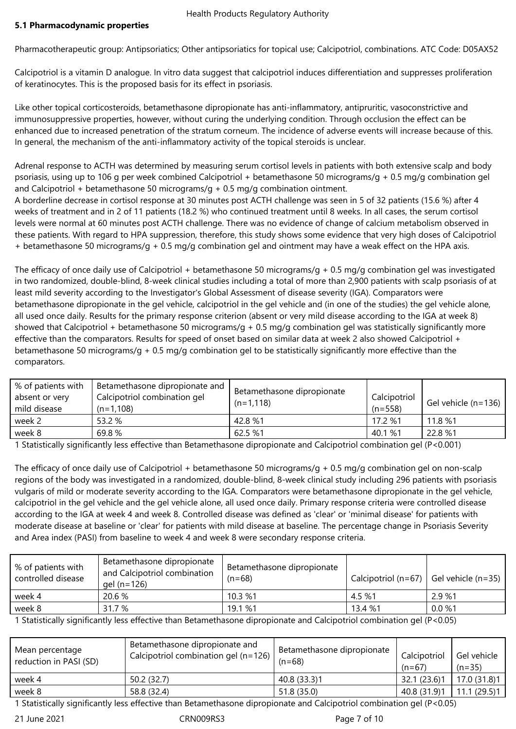Pharmacotherapeutic group: Antipsoriatics; Other antipsoriatics for topical use; Calcipotriol, combinations. ATC Code: D05AX52

Calcipotriol is a vitamin D analogue. In vitro data suggest that calcipotriol induces differentiation and suppresses proliferation of keratinocytes. This is the proposed basis for its effect in psoriasis.

Like other topical corticosteroids, betamethasone dipropionate has anti-inflammatory, antipruritic, vasoconstrictive and immunosuppressive properties, however, without curing the underlying condition. Through occlusion the effect can be enhanced due to increased penetration of the stratum corneum. The incidence of adverse events will increase because of this. In general, the mechanism of the anti-inflammatory activity of the topical steroids is unclear.

Adrenal response to ACTH was determined by measuring serum cortisol levels in patients with both extensive scalp and body psoriasis, using up to 106 g per week combined Calcipotriol + betamethasone 50 micrograms/g + 0.5 mg/g combination gel and Calcipotriol + betamethasone 50 micrograms/g +  $0.5$  mg/g combination ointment.

A borderline decrease in cortisol response at 30 minutes post ACTH challenge was seen in 5 of 32 patients (15.6 %) after 4 weeks of treatment and in 2 of 11 patients (18.2 %) who continued treatment until 8 weeks. In all cases, the serum cortisol levels were normal at 60 minutes post ACTH challenge. There was no evidence of change of calcium metabolism observed in these patients. With regard to HPA suppression, therefore, this study shows some evidence that very high doses of Calcipotriol + betamethasone 50 micrograms/g + 0.5 mg/g combination gel and ointment may have a weak effect on the HPA axis.

The efficacy of once daily use of Calcipotriol + betamethasone 50 micrograms/g + 0.5 mg/g combination gel was investigated in two randomized, double-blind, 8-week clinical studies including a total of more than 2,900 patients with scalp psoriasis of at least mild severity according to the Investigator's Global Assessment of disease severity (IGA). Comparators were betamethasone dipropionate in the gel vehicle, calcipotriol in the gel vehicle and (in one of the studies) the gel vehicle alone, all used once daily. Results for the primary response criterion (absent or very mild disease according to the IGA at week 8) showed that Calcipotriol + betamethasone 50 micrograms/g + 0.5 mg/g combination gel was statistically significantly more effective than the comparators. Results for speed of onset based on similar data at week 2 also showed Calcipotriol + betamethasone 50 micrograms/g + 0.5 mg/g combination gel to be statistically significantly more effective than the comparators.

| % of patients with<br>absent or very<br>mild disease | Betamethasone dipropionate and<br>Calcipotriol combination gel<br>$(n=1,108)$ | Betamethasone dipropionate<br>$(n=1,118)$ | Calcipotriol<br>$(n=558)$ | Gel vehicle (n=136) $\vert$ |
|------------------------------------------------------|-------------------------------------------------------------------------------|-------------------------------------------|---------------------------|-----------------------------|
| week 2                                               | 53.2 %                                                                        | 42.8 %1                                   | 17.2 %1                   | 11.8 %1                     |
| week 8                                               | 69.8%                                                                         | 62.5 %1                                   | 40.1 %1                   | 22.8 %1                     |
|                                                      |                                                                               |                                           |                           |                             |

1 Statistically significantly less effective than Betamethasone dipropionate and Calcipotriol combination gel (P<0.001)

The efficacy of once daily use of Calcipotriol + betamethasone 50 micrograms/g + 0.5 mg/g combination gel on non-scalp regions of the body was investigated in a randomized, double-blind, 8-week clinical study including 296 patients with psoriasis vulgaris of mild or moderate severity according to the IGA. Comparators were betamethasone dipropionate in the gel vehicle, calcipotriol in the gel vehicle and the gel vehicle alone, all used once daily. Primary response criteria were controlled disease according to the IGA at week 4 and week 8. Controlled disease was defined as 'clear' or 'minimal disease' for patients with moderate disease at baseline or 'clear' for patients with mild disease at baseline. The percentage change in Psoriasis Severity and Area index (PASI) from baseline to week 4 and week 8 were secondary response criteria.

| % of patients with<br>controlled disease | Betamethasone dipropionate<br>and Calcipotriol combination<br>gel (n=126) | Betamethasone dipropionate<br>$(n=68)$ | Calcipotriol ( $n=67$ ) Gel vehicle ( $n=35$ ) |        |
|------------------------------------------|---------------------------------------------------------------------------|----------------------------------------|------------------------------------------------|--------|
| week 4                                   | 20.6%                                                                     | 10.3%1                                 | 4.5 %1                                         | 2.9 %1 |
| week 8                                   | 31.7 %                                                                    | 19.1 %1                                | 13.4 %1                                        | 0.0 %1 |

1 Statistically significantly less effective than Betamethasone dipropionate and Calcipotriol combination gel (P<0.05)

| Mean percentage<br>reduction in PASI (SD) | Betamethasone dipropionate and<br>Calcipotriol combination gel (n=126) | Betamethasone dipropionate<br>$(n=68)$ | Calcipotriol<br>$(n=67)$ | Gel vehicle<br>$(n=35)$ |
|-------------------------------------------|------------------------------------------------------------------------|----------------------------------------|--------------------------|-------------------------|
| week 4                                    | 50.2 (32.7)                                                            | 40.8 (33.3)1                           | 32.1 (23.6)1             | 17.0 (31.8)1            |
| week 8                                    | 58.8 (32.4)                                                            | 51.8 (35.0)                            | 40.8(31.9)1              | 11.1 (29.5)1            |

1 Statistically significantly less effective than Betamethasone dipropionate and Calcipotriol combination gel (P<0.05)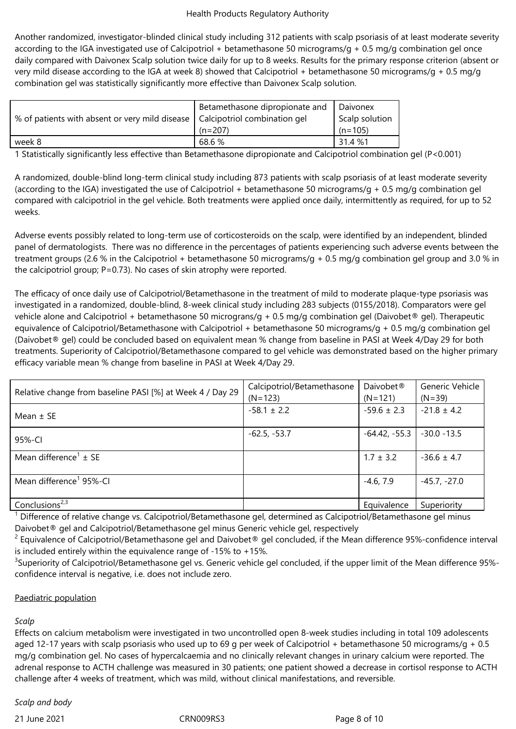Another randomized, investigator-blinded clinical study including 312 patients with scalp psoriasis of at least moderate severity according to the IGA investigated use of Calcipotriol + betamethasone 50 micrograms/g + 0.5 mg/g combination gel once daily compared with Daivonex Scalp solution twice daily for up to 8 weeks. Results for the primary response criterion (absent or very mild disease according to the IGA at week 8) showed that Calcipotriol + betamethasone 50 micrograms/g + 0.5 mg/g combination gel was statistically significantly more effective than Daivonex Scalp solution.

|                                                                               | Betamethasone dipropionate and   Daivonex |                |
|-------------------------------------------------------------------------------|-------------------------------------------|----------------|
| % of patients with absent or very mild disease   Calcipotriol combination gel |                                           | Scalp solution |
|                                                                               | $(n=207)$                                 | $(n=105)$      |
| week 8                                                                        | 68.6 %                                    | 31.4 %1        |

1 Statistically significantly less effective than Betamethasone dipropionate and Calcipotriol combination gel (P<0.001)

A randomized, double-blind long-term clinical study including 873 patients with scalp psoriasis of at least moderate severity (according to the IGA) investigated the use of Calcipotriol + betamethasone 50 micrograms/g + 0.5 mg/g combination gel compared with calcipotriol in the gel vehicle. Both treatments were applied once daily, intermittently as required, for up to 52 weeks.

Adverse events possibly related to long-term use of corticosteroids on the scalp, were identified by an independent, blinded panel of dermatologists. There was no difference in the percentages of patients experiencing such adverse events between the treatment groups (2.6 % in the Calcipotriol + betamethasone 50 micrograms/g + 0.5 mg/g combination gel group and 3.0 % in the calcipotriol group; P=0.73). No cases of skin atrophy were reported.

The efficacy of once daily use of Calcipotriol/Betamethasone in the treatment of mild to moderate plaque-type psoriasis was investigated in a randomized, double-blind, 8-week clinical study including 283 subjects (0155/2018). Comparators were gel vehicle alone and Calcipotriol + betamethasone 50 micrograns/g + 0.5 mg/g combination gel (Daivobet® gel). Therapeutic equivalence of Calcipotriol/Betamethasone with Calcipotriol + betamethasone 50 micrograms/g + 0.5 mg/g combination gel (Daivobet® gel) could be concluded based on equivalent mean % change from baseline in PASI at Week 4/Day 29 for both treatments. Superiority of Calcipotriol/Betamethasone compared to gel vehicle was demonstrated based on the higher primary efficacy variable mean % change from baseline in PASI at Week 4/Day 29.

| Relative change from baseline PASI [%] at Week 4 / Day 29 | Calcipotriol/Betamethasone<br>$(N=123)$ | Daivobet <sup>®</sup><br>$(N=121)$ | Generic Vehicle<br>$(N=39)$ |
|-----------------------------------------------------------|-----------------------------------------|------------------------------------|-----------------------------|
| Mean $\pm$ SE                                             | $-58.1 \pm 2.2$                         | $-59.6 \pm 2.3$                    | $-21.8 \pm 4.2$             |
| 95%-CI                                                    | $-62.5, -53.7$                          | $-64.42, -55.3$                    | $-30.0 - 13.5$              |
| Mean difference <sup>1</sup> $\pm$ SE                     |                                         | $1.7 \pm 3.2$                      | $-36.6 \pm 4.7$             |
| Mean difference <sup>1</sup> 95%-CI                       |                                         | $-4.6, 7.9$                        | $-45.7, -27.0$              |
| Conclusions <sup>2,3</sup>                                |                                         | Equivalence                        | Superiority                 |

<sup>1</sup> Difference of relative change vs. Calcipotriol/Betamethasone gel, determined as Calcipotriol/Betamethasone gel minus Daivobet® gel and Calcipotriol/Betamethasone gel minus Generic vehicle gel, respectively

 $^2$  Equivalence of Calcipotriol/Betamethasone gel and Daivobet® gel concluded, if the Mean difference 95%-confidence interval is included entirely within the equivalence range of -15% to +15%.

 $^3$ Superiority of Calcipotriol/Betamethasone gel vs. Generic vehicle gel concluded, if the upper limit of the Mean difference 95%confidence interval is negative, i.e. does not include zero.

# Paediatric population

# *Scalp*

Effects on calcium metabolism were investigated in two uncontrolled open 8-week studies including in total 109 adolescents aged 12-17 years with scalp psoriasis who used up to 69 g per week of Calcipotriol + betamethasone 50 micrograms/g + 0.5 mg/g combination gel. No cases of hypercalcaemia and no clinically relevant changes in urinary calcium were reported. The adrenal response to ACTH challenge was measured in 30 patients; one patient showed a decrease in cortisol response to ACTH challenge after 4 weeks of treatment, which was mild, without clinical manifestations, and reversible.

# *Scalp and body*

21 June 2021 CRN009RS3 Page 8 of 10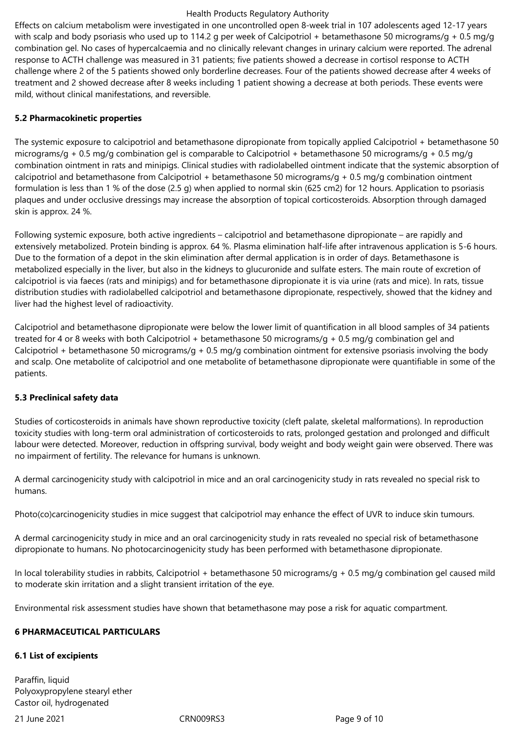#### Health Products Regulatory Authority

Effects on calcium metabolism were investigated in one uncontrolled open 8-week trial in 107 adolescents aged 12-17 years with scalp and body psoriasis who used up to 114.2 g per week of Calcipotriol + betamethasone 50 micrograms/g + 0.5 mg/g combination gel. No cases of hypercalcaemia and no clinically relevant changes in urinary calcium were reported. The adrenal response to ACTH challenge was measured in 31 patients; five patients showed a decrease in cortisol response to ACTH challenge where 2 of the 5 patients showed only borderline decreases. Four of the patients showed decrease after 4 weeks of treatment and 2 showed decrease after 8 weeks including 1 patient showing a decrease at both periods. These events were mild, without clinical manifestations, and reversible.

# **5.2 Pharmacokinetic properties**

The systemic exposure to calcipotriol and betamethasone dipropionate from topically applied Calcipotriol + betamethasone 50 micrograms/g + 0.5 mg/g combination gel is comparable to Calcipotriol + betamethasone 50 micrograms/g + 0.5 mg/g combination ointment in rats and minipigs. Clinical studies with radiolabelled ointment indicate that the systemic absorption of calcipotriol and betamethasone from Calcipotriol + betamethasone 50 micrograms/g + 0.5 mg/g combination ointment formulation is less than 1 % of the dose (2.5 g) when applied to normal skin (625 cm2) for 12 hours. Application to psoriasis plaques and under occlusive dressings may increase the absorption of topical corticosteroids. Absorption through damaged skin is approx. 24 %.

Following systemic exposure, both active ingredients – calcipotriol and betamethasone dipropionate – are rapidly and extensively metabolized. Protein binding is approx. 64 %. Plasma elimination half-life after intravenous application is 5-6 hours. Due to the formation of a depot in the skin elimination after dermal application is in order of days. Betamethasone is metabolized especially in the liver, but also in the kidneys to glucuronide and sulfate esters. The main route of excretion of calcipotriol is via faeces (rats and minipigs) and for betamethasone dipropionate it is via urine (rats and mice). In rats, tissue distribution studies with radiolabelled calcipotriol and betamethasone dipropionate, respectively, showed that the kidney and liver had the highest level of radioactivity.

Calcipotriol and betamethasone dipropionate were below the lower limit of quantification in all blood samples of 34 patients treated for 4 or 8 weeks with both Calcipotriol + betamethasone 50 micrograms/g + 0.5 mg/g combination gel and Calcipotriol + betamethasone 50 micrograms/g + 0.5 mg/g combination ointment for extensive psoriasis involving the body and scalp. One metabolite of calcipotriol and one metabolite of betamethasone dipropionate were quantifiable in some of the patients.

# **5.3 Preclinical safety data**

Studies of corticosteroids in animals have shown reproductive toxicity (cleft palate, skeletal malformations). In reproduction toxicity studies with long-term oral administration of corticosteroids to rats, prolonged gestation and prolonged and difficult labour were detected. Moreover, reduction in offspring survival, body weight and body weight gain were observed. There was no impairment of fertility. The relevance for humans is unknown.

A dermal carcinogenicity study with calcipotriol in mice and an oral carcinogenicity study in rats revealed no special risk to humans.

Photo(co)carcinogenicity studies in mice suggest that calcipotriol may enhance the effect of UVR to induce skin tumours.

A dermal carcinogenicity study in mice and an oral carcinogenicity study in rats revealed no special risk of betamethasone dipropionate to humans. No photocarcinogenicity study has been performed with betamethasone dipropionate.

In local tolerability studies in rabbits, Calcipotriol + betamethasone 50 micrograms/g + 0.5 mg/g combination gel caused mild to moderate skin irritation and a slight transient irritation of the eye.

Environmental risk assessment studies have shown that betamethasone may pose a risk for aquatic compartment.

# **6 PHARMACEUTICAL PARTICULARS**

### **6.1 List of excipients**

Paraffin, liquid Polyoxypropylene stearyl ether Castor oil, hydrogenated

21 June 2021 **CRN009RS3** Page 9 of 10